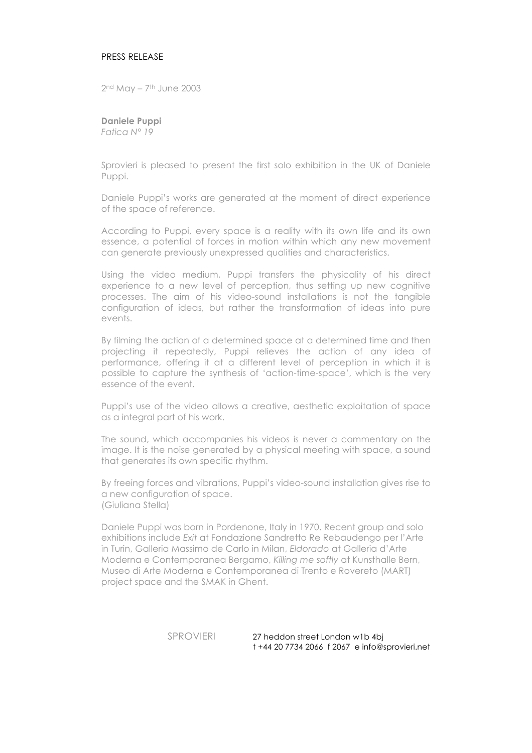## PRESS RELEASE

2nd May – 7th June 2003

**Daniele Puppi** *Fatica N° 19*

Sprovieri is pleased to present the first solo exhibition in the UK of Daniele Puppi.

Daniele Puppi's works are generated at the moment of direct experience of the space of reference.

According to Puppi, every space is a reality with its own life and its own essence, a potential of forces in motion within which any new movement can generate previously unexpressed qualities and characteristics.

Using the video medium, Puppi transfers the physicality of his direct experience to a new level of perception, thus setting up new cognitive processes. The aim of his video-sound installations is not the tangible configuration of ideas, but rather the transformation of ideas into pure events.

By filming the action of a determined space at a determined time and then projecting it repeatedly, Puppi relieves the action of any idea of performance, offering it at a different level of perception in which it is possible to capture the synthesis of 'action-time-space', which is the very essence of the event.

Puppi's use of the video allows a creative, aesthetic exploitation of space as a integral part of his work.

The sound, which accompanies his videos is never a commentary on the image. It is the noise generated by a physical meeting with space, a sound that generates its own specific rhythm.

By freeing forces and vibrations, Puppi's video-sound installation gives rise to a new configuration of space. (Giuliana Stella)

Daniele Puppi was born in Pordenone, Italy in 1970. Recent group and solo exhibitions include *Exit* at Fondazione Sandretto Re Rebaudengo per l'Arte in Turin, Galleria Massimo de Carlo in Milan, *Eldorado* at Galleria d'Arte Moderna e Contemporanea Bergamo, *Killing me softly* at Kunsthalle Bern, Museo di Arte Moderna e Contemporanea di Trento e Rovereto (MART) project space and the SMAK in Ghent.

> SPROVIERI 27 heddon street London w1b 4bj t +44 20 7734 2066 f 2067 e info@sprovieri.net